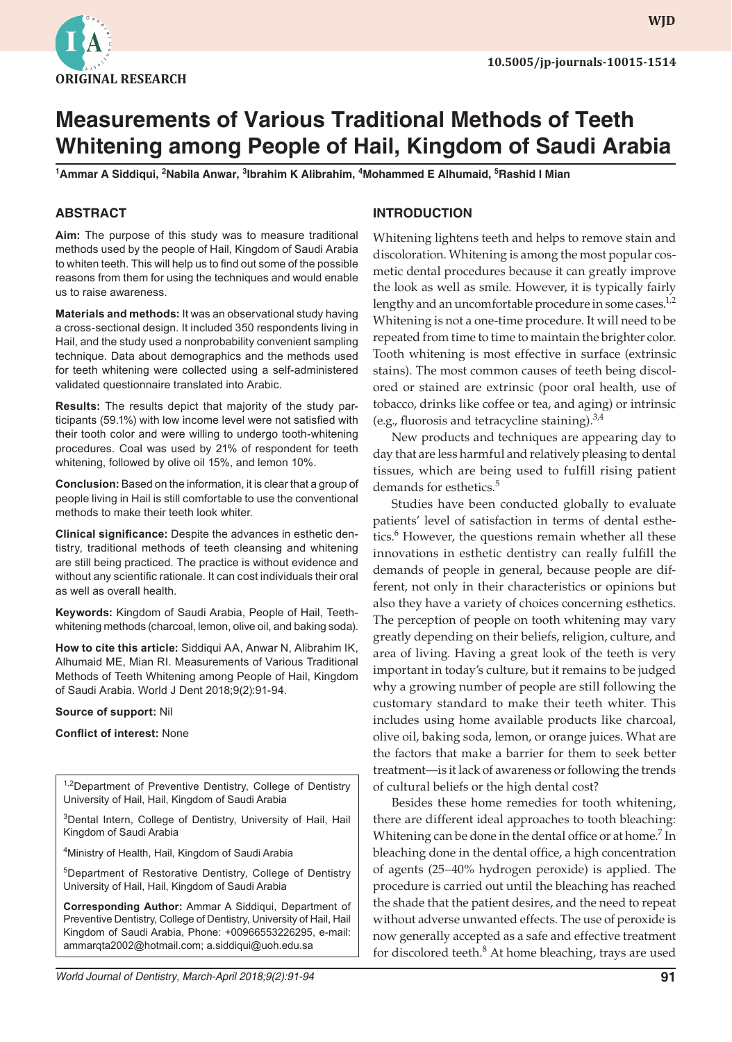

**wjd WJD**

# **Measurements of Various Traditional Methods of Teeth Whitening among People of Hail, Kingdom of Saudi Arabia**

<sup>1</sup>Ammar A Siddiqui, <sup>2</sup>Nabila Anwar, <sup>3</sup>Ibrahim K Alibrahim, <sup>4</sup>Mohammed E Alhumaid, <sup>5</sup>Rashid I Mian

# **ABSTRACT**

**Aim:** The purpose of this study was to measure traditional methods used by the people of Hail, Kingdom of Saudi Arabia to whiten teeth. This will help us to find out some of the possible reasons from them for using the techniques and would enable us to raise awareness.

**Materials and methods:** It was an observational study having a cross-sectional design. It included 350 respondents living in Hail, and the study used a nonprobability convenient sampling technique. Data about demographics and the methods used for teeth whitening were collected using a self-administered validated questionnaire translated into Arabic.

**Results:** The results depict that majority of the study participants (59.1%) with low income level were not satisfied with their tooth color and were willing to undergo tooth-whitening procedures. Coal was used by 21% of respondent for teeth whitening, followed by olive oil 15%, and lemon 10%.

**Conclusion:** Based on the information, it is clear that a group of people living in Hail is still comfortable to use the conventional methods to make their teeth look whiter.

**Clinical significance:** Despite the advances in esthetic dentistry, traditional methods of teeth cleansing and whitening are still being practiced. The practice is without evidence and without any scientific rationale. It can cost individuals their oral as well as overall health.

**Keywords:** Kingdom of Saudi Arabia, People of Hail, Teethwhitening methods (charcoal, lemon, olive oil, and baking soda).

**How to cite this article:** Siddiqui AA, Anwar N, Alibrahim IK, Alhumaid ME, Mian RI. Measurements of Various Traditional Methods of Teeth Whitening among People of Hail, Kingdom of Saudi Arabia. World J Dent 2018;9(2):91-94.

#### **Source of support:** Nil

**Conflict of interest:** None

<sup>1,2</sup>Department of Preventive Dentistry, College of Dentistry University of Hail, Hail, Kingdom of Saudi Arabia

<sup>3</sup>Dental Intern, College of Dentistry, University of Hail, Hail Kingdom of Saudi Arabia

4 Ministry of Health, Hail, Kingdom of Saudi Arabia

5Department of Restorative Dentistry, College of Dentistry University of Hail, Hail, Kingdom of Saudi Arabia

**Corresponding Author:** Ammar A Siddiqui, Department of Preventive Dentistry, College of Dentistry, University of Hail, Hail Kingdom of Saudi Arabia, Phone: +00966553226295, e-mail: ammarqta2002@hotmail.com; a.siddiqui@uoh.edu.sa

# **INTRODUCTION**

Whitening lightens teeth and helps to remove stain and discoloration. Whitening is among the most popular cosmetic dental procedures because it can greatly improve the look as well as smile. However, it is typically fairly lengthy and an uncomfortable procedure in some cases.<sup>1,2</sup> Whitening is not a one-time procedure. It will need to be repeated from time to time to maintain the brighter color. Tooth whitening is most effective in surface (extrinsic stains). The most common causes of teeth being discolored or stained are extrinsic (poor oral health, use of tobacco, drinks like coffee or tea, and aging) or intrinsic (e.g., fluorosis and tetracycline staining). $3,4$ 

New products and techniques are appearing day to day that are less harmful and relatively pleasing to dental tissues, which are being used to fulfill rising patient demands for esthetics.<sup>5</sup>

Studies have been conducted globally to evaluate patients' level of satisfaction in terms of dental esthetics.<sup>6</sup> However, the questions remain whether all these innovations in esthetic dentistry can really fulfill the demands of people in general, because people are different, not only in their characteristics or opinions but also they have a variety of choices concerning esthetics. The perception of people on tooth whitening may vary greatly depending on their beliefs, religion, culture, and area of living. Having a great look of the teeth is very important in today's culture, but it remains to be judged why a growing number of people are still following the customary standard to make their teeth whiter. This includes using home available products like charcoal, olive oil, baking soda, lemon, or orange juices. What are the factors that make a barrier for them to seek better treatment—is it lack of awareness or following the trends of cultural beliefs or the high dental cost?

Besides these home remedies for tooth whitening, there are different ideal approaches to tooth bleaching: Whitening can be done in the dental office or at home.<sup>7</sup> In bleaching done in the dental office, a high concentration of agents (25–40% hydrogen peroxide) is applied. The procedure is carried out until the bleaching has reached the shade that the patient desires, and the need to repeat without adverse unwanted effects. The use of peroxide is now generally accepted as a safe and effective treatment for discolored teeth.<sup>8</sup> At home bleaching, trays are used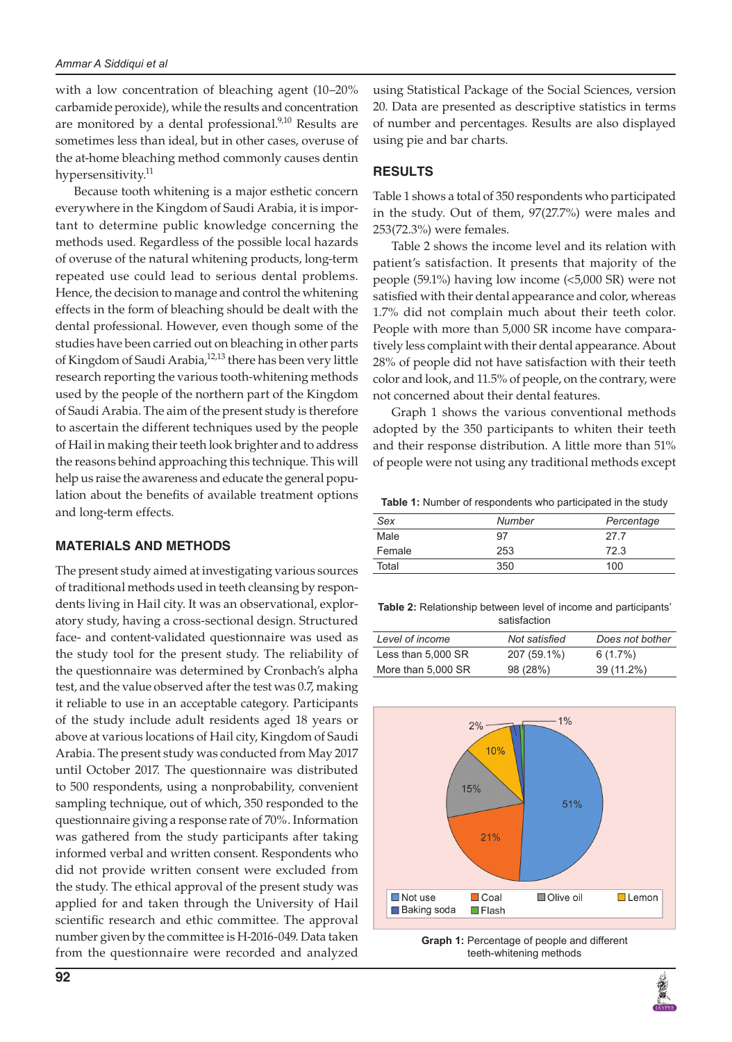with a low concentration of bleaching agent (10–20% carbamide peroxide), while the results and concentration are monitored by a dental professional.<sup>9,10</sup> Results are sometimes less than ideal, but in other cases, overuse of the at-home bleaching method commonly causes dentin hypersensitivity.<sup>11</sup>

Because tooth whitening is a major esthetic concern everywhere in the Kingdom of Saudi Arabia, it is important to determine public knowledge concerning the methods used. Regardless of the possible local hazards of overuse of the natural whitening products, long-term repeated use could lead to serious dental problems. Hence, the decision to manage and control the whitening effects in the form of bleaching should be dealt with the dental professional. However, even though some of the studies have been carried out on bleaching in other parts of Kingdom of Saudi Arabia,<sup>12,13</sup> there has been very little research reporting the various tooth-whitening methods used by the people of the northern part of the Kingdom of Saudi Arabia. The aim of the present study is therefore to ascertain the different techniques used by the people of Hail in making their teeth look brighter and to address the reasons behind approaching this technique. This will help us raise the awareness and educate the general population about the benefits of available treatment options and long-term effects.

### **MATERIALS AND METHODS**

The present study aimed at investigating various sources of traditional methods used in teeth cleansing by respondents living in Hail city. It was an observational, exploratory study, having a cross-sectional design. Structured face- and content-validated questionnaire was used as the study tool for the present study. The reliability of the questionnaire was determined by Cronbach's alpha test, and the value observed after the test was 0.7, making it reliable to use in an acceptable category. Participants of the study include adult residents aged 18 years or above at various locations of Hail city, Kingdom of Saudi Arabia. The present study was conducted from May 2017 until October 2017. The questionnaire was distributed to 500 respondents, using a nonprobability, convenient sampling technique, out of which, 350 responded to the questionnaire giving a response rate of 70%. Information was gathered from the study participants after taking informed verbal and written consent. Respondents who did not provide written consent were excluded from the study. The ethical approval of the present study was applied for and taken through the University of Hail scientific research and ethic committee. The approval number given by the committee is H-2016-049. Data taken from the questionnaire were recorded and analyzed

using Statistical Package of the Social Sciences, version 20. Data are presented as descriptive statistics in terms of number and percentages. Results are also displayed using pie and bar charts.

# **RESULTS**

Table 1 shows a total of 350 respondents who participated in the study. Out of them, 97(27.7%) were males and 253(72.3%) were females.

Table 2 shows the income level and its relation with patient's satisfaction. It presents that majority of the people (59.1%) having low income (<5,000 SR) were not satisfied with their dental appearance and color, whereas 1.7% did not complain much about their teeth color. People with more than 5,000 SR income have comparatively less complaint with their dental appearance. About 28% of people did not have satisfaction with their teeth color and look, and 11.5% of people, on the contrary, were not concerned about their dental features.

Graph 1 shows the various conventional methods adopted by the 350 participants to whiten their teeth and their response distribution. A little more than 51% of people were not using any traditional methods except

**Table 1:** Number of respondents who participated in the study

| Sex    | Number | Percentage |
|--------|--------|------------|
| Male   | 97     | 27.7       |
| Female | 253    | 72.3       |
| Total  | 350    | 100        |

**Table 2:** Relationship between level of income and participants' satisfaction

| Level of income    | Not satisfied | Does not bother |
|--------------------|---------------|-----------------|
| Less than 5,000 SR | 207 (59.1%)   | 6(1.7%)         |
| More than 5,000 SR | 98 (28%)      | 39 (11.2%)      |



**Graph 1:** Percentage of people and different teeth-whitening methods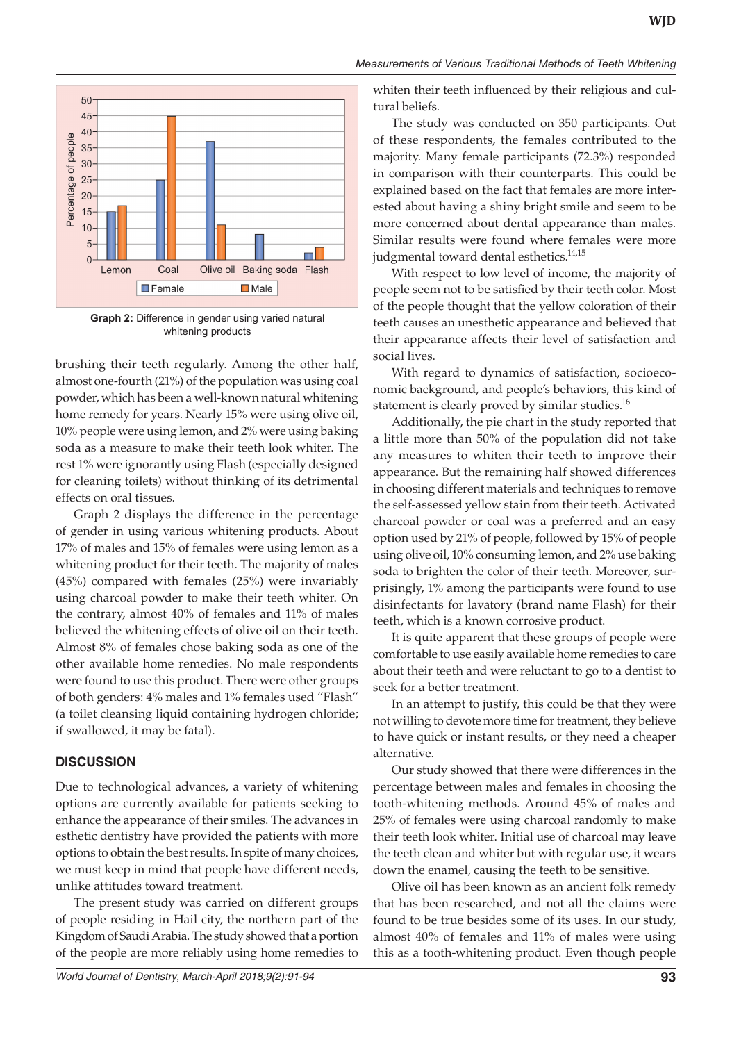

**Graph 2:** Difference in gender using varied natural whitening products

brushing their teeth regularly. Among the other half, almost one-fourth (21%) of the population was using coal powder, which has been a well-known natural whitening home remedy for years. Nearly 15% were using olive oil, 10% people were using lemon, and 2% were using baking soda as a measure to make their teeth look whiter. The rest 1% were ignorantly using Flash (especially designed for cleaning toilets) without thinking of its detrimental effects on oral tissues.

Graph 2 displays the difference in the percentage of gender in using various whitening products. About 17% of males and 15% of females were using lemon as a whitening product for their teeth. The majority of males (45%) compared with females (25%) were invariably using charcoal powder to make their teeth whiter. On the contrary, almost 40% of females and 11% of males believed the whitening effects of olive oil on their teeth. Almost 8% of females chose baking soda as one of the other available home remedies. No male respondents were found to use this product. There were other groups of both genders: 4% males and 1% females used "Flash" (a toilet cleansing liquid containing hydrogen chloride; if swallowed, it may be fatal).

### **DISCUSSION**

Due to technological advances, a variety of whitening options are currently available for patients seeking to enhance the appearance of their smiles. The advances in esthetic dentistry have provided the patients with more options to obtain the best results. In spite of many choices, we must keep in mind that people have different needs, unlike attitudes toward treatment.

The present study was carried on different groups of people residing in Hail city, the northern part of the Kingdom of Saudi Arabia. The study showed that a portion of the people are more reliably using home remedies to

whiten their teeth influenced by their religious and cultural beliefs.

The study was conducted on 350 participants. Out of these respondents, the females contributed to the majority. Many female participants (72.3%) responded in comparison with their counterparts. This could be explained based on the fact that females are more interested about having a shiny bright smile and seem to be more concerned about dental appearance than males. Similar results were found where females were more judgmental toward dental esthetics.<sup>14,15</sup>

With respect to low level of income, the majority of people seem not to be satisfied by their teeth color. Most of the people thought that the yellow coloration of their teeth causes an unesthetic appearance and believed that their appearance affects their level of satisfaction and social lives.

With regard to dynamics of satisfaction, socioeconomic background, and people's behaviors, this kind of statement is clearly proved by similar studies.<sup>16</sup>

Additionally, the pie chart in the study reported that a little more than 50% of the population did not take any measures to whiten their teeth to improve their appearance. But the remaining half showed differences in choosing different materials and techniques to remove the self-assessed yellow stain from their teeth. Activated charcoal powder or coal was a preferred and an easy option used by 21% of people, followed by 15% of people using olive oil, 10% consuming lemon, and 2% use baking soda to brighten the color of their teeth. Moreover, surprisingly, 1% among the participants were found to use disinfectants for lavatory (brand name Flash) for their teeth, which is a known corrosive product.

It is quite apparent that these groups of people were comfortable to use easily available home remedies to care about their teeth and were reluctant to go to a dentist to seek for a better treatment.

In an attempt to justify, this could be that they were not willing to devote more time for treatment, they believe to have quick or instant results, or they need a cheaper alternative.

Our study showed that there were differences in the percentage between males and females in choosing the tooth-whitening methods. Around 45% of males and 25% of females were using charcoal randomly to make their teeth look whiter. Initial use of charcoal may leave the teeth clean and whiter but with regular use, it wears down the enamel, causing the teeth to be sensitive.

Olive oil has been known as an ancient folk remedy that has been researched, and not all the claims were found to be true besides some of its uses. In our study, almost 40% of females and 11% of males were using this as a tooth-whitening product. Even though people